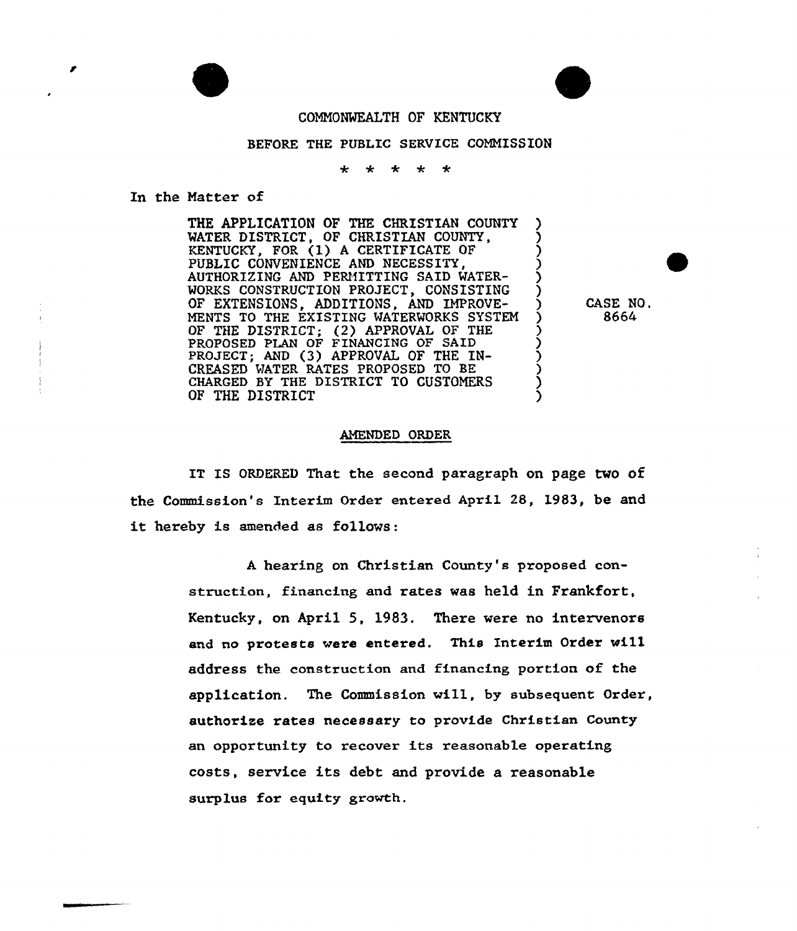



## CONNONMEALTH OF KENTUCKY

## BEFORE THE PUBLIC SERVICE COMMISSION

 $\ddot{\bullet}$  $\mathbf{d}$  $\frac{1}{2}$  $\rightarrow$ 

## In the Natter of

THE APPLICATION OF THE CHRISTIAN COUNTY WATER DISTRICT, OF CHRISTIAN COUNTY. KENTUCKY, FOR (1) A CERTIFICATE OF PUBLIC CONVENIENCE AND NECESSITY, AUTHORIZING AND PERMITTING SAID WATER-WORKS CONSTRUCTION PROJECT, CONSISTING OF EXTENSIONS, ADDITIONS, AND IMPROVE-MENTS TO THE EXISTING WATERWORKS SYSTEM ) OF THE DISTRICT; (2) APPROVAL OF THE  $\left($ PROPOSED PLAN OF FINANCING OF SAID ) PROJECT; AND (3) APPROVAL OF THE IN-CREASED WATER RATES PROPOSED TO BE CHARGED BY THE DISTRICT TO CUSTOMERS OF THE DISTRICT

CASE NO. 8664

## AMENDED ORDER

IT IS ORDERED That the second paragraph on page two of the Commission's Interim Order entered April 28, 1983, be and it hereby is amended as follows:

> <sup>A</sup> hearing on Christian County's proposed construction, financing and rates was held in Frankfort, Kentucky, on April 5, 1983. There were no intervenors and no protests were entered, This Interim Order wi11 address the construction and financing portion of the application. The Commission wi11, by subsequent Order, authorise rates necessary to provide Christian County an opportunity to recover its reasonable operating costs, service its debt and provide a reasonable surplus for equity growth.